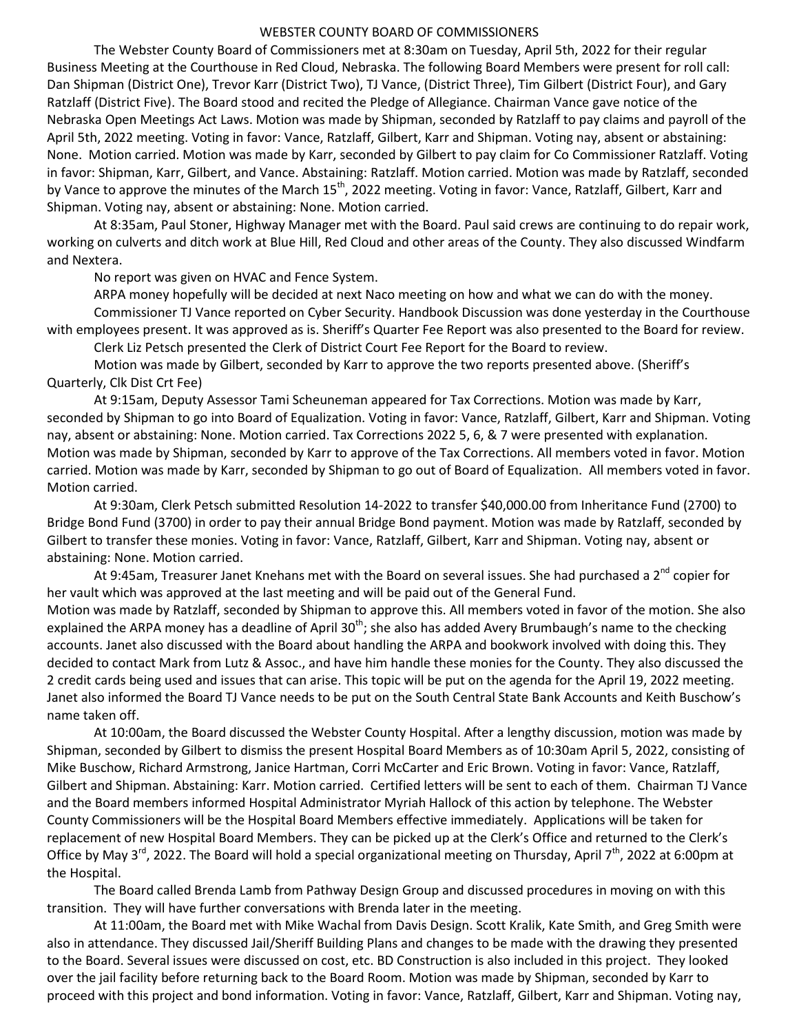## WEBSTER COUNTY BOARD OF COMMISSIONERS

 The Webster County Board of Commissioners met at 8:30am on Tuesday, April 5th, 2022 for their regular Business Meeting at the Courthouse in Red Cloud, Nebraska. The following Board Members were present for roll call: Dan Shipman (District One), Trevor Karr (District Two), TJ Vance, (District Three), Tim Gilbert (District Four), and Gary Ratzlaff (District Five). The Board stood and recited the Pledge of Allegiance. Chairman Vance gave notice of the Nebraska Open Meetings Act Laws. Motion was made by Shipman, seconded by Ratzlaff to pay claims and payroll of the April 5th, 2022 meeting. Voting in favor: Vance, Ratzlaff, Gilbert, Karr and Shipman. Voting nay, absent or abstaining: None. Motion carried. Motion was made by Karr, seconded by Gilbert to pay claim for Co Commissioner Ratzlaff. Voting in favor: Shipman, Karr, Gilbert, and Vance. Abstaining: Ratzlaff. Motion carried. Motion was made by Ratzlaff, seconded by Vance to approve the minutes of the March 15<sup>th</sup>, 2022 meeting. Voting in favor: Vance, Ratzlaff, Gilbert, Karr and Shipman. Voting nay, absent or abstaining: None. Motion carried.

 At 8:35am, Paul Stoner, Highway Manager met with the Board. Paul said crews are continuing to do repair work, working on culverts and ditch work at Blue Hill, Red Cloud and other areas of the County. They also discussed Windfarm and Nextera.

No report was given on HVAC and Fence System.

ARPA money hopefully will be decided at next Naco meeting on how and what we can do with the money.

 Commissioner TJ Vance reported on Cyber Security. Handbook Discussion was done yesterday in the Courthouse with employees present. It was approved as is. Sheriff's Quarter Fee Report was also presented to the Board for review.

Clerk Liz Petsch presented the Clerk of District Court Fee Report for the Board to review.

 Motion was made by Gilbert, seconded by Karr to approve the two reports presented above. (Sheriff's Quarterly, Clk Dist Crt Fee)

 At 9:15am, Deputy Assessor Tami Scheuneman appeared for Tax Corrections. Motion was made by Karr, seconded by Shipman to go into Board of Equalization. Voting in favor: Vance, Ratzlaff, Gilbert, Karr and Shipman. Voting nay, absent or abstaining: None. Motion carried. Tax Corrections 2022 5, 6, & 7 were presented with explanation. Motion was made by Shipman, seconded by Karr to approve of the Tax Corrections. All members voted in favor. Motion carried. Motion was made by Karr, seconded by Shipman to go out of Board of Equalization. All members voted in favor. Motion carried.

 At 9:30am, Clerk Petsch submitted Resolution 14-2022 to transfer \$40,000.00 from Inheritance Fund (2700) to Bridge Bond Fund (3700) in order to pay their annual Bridge Bond payment. Motion was made by Ratzlaff, seconded by Gilbert to transfer these monies. Voting in favor: Vance, Ratzlaff, Gilbert, Karr and Shipman. Voting nay, absent or abstaining: None. Motion carried.

At 9:45am, Treasurer Janet Knehans met with the Board on several issues. She had purchased a 2<sup>nd</sup> copier for her vault which was approved at the last meeting and will be paid out of the General Fund. Motion was made by Ratzlaff, seconded by Shipman to approve this. All members voted in favor of the motion. She also explained the ARPA money has a deadline of April  $30<sup>th</sup>$ ; she also has added Avery Brumbaugh's name to the checking accounts. Janet also discussed with the Board about handling the ARPA and bookwork involved with doing this. They decided to contact Mark from Lutz & Assoc., and have him handle these monies for the County. They also discussed the 2 credit cards being used and issues that can arise. This topic will be put on the agenda for the April 19, 2022 meeting. Janet also informed the Board TJ Vance needs to be put on the South Central State Bank Accounts and Keith Buschow's name taken off.

 At 10:00am, the Board discussed the Webster County Hospital. After a lengthy discussion, motion was made by Shipman, seconded by Gilbert to dismiss the present Hospital Board Members as of 10:30am April 5, 2022, consisting of Mike Buschow, Richard Armstrong, Janice Hartman, Corri McCarter and Eric Brown. Voting in favor: Vance, Ratzlaff, Gilbert and Shipman. Abstaining: Karr. Motion carried. Certified letters will be sent to each of them. Chairman TJ Vance and the Board members informed Hospital Administrator Myriah Hallock of this action by telephone. The Webster County Commissioners will be the Hospital Board Members effective immediately. Applications will be taken for replacement of new Hospital Board Members. They can be picked up at the Clerk's Office and returned to the Clerk's Office by May 3<sup>rd</sup>, 2022. The Board will hold a special organizational meeting on Thursday, April 7<sup>th</sup>, 2022 at 6:00pm at the Hospital.

 The Board called Brenda Lamb from Pathway Design Group and discussed procedures in moving on with this transition. They will have further conversations with Brenda later in the meeting.

 At 11:00am, the Board met with Mike Wachal from Davis Design. Scott Kralik, Kate Smith, and Greg Smith were also in attendance. They discussed Jail/Sheriff Building Plans and changes to be made with the drawing they presented to the Board. Several issues were discussed on cost, etc. BD Construction is also included in this project. They looked over the jail facility before returning back to the Board Room. Motion was made by Shipman, seconded by Karr to proceed with this project and bond information. Voting in favor: Vance, Ratzlaff, Gilbert, Karr and Shipman. Voting nay,